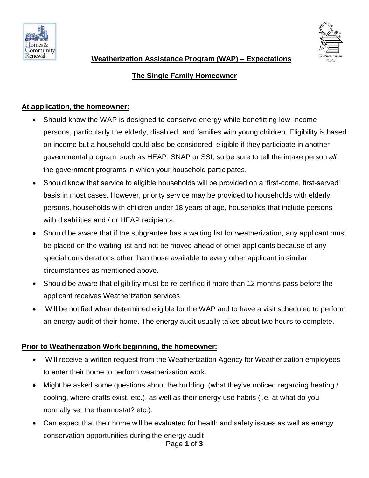



# **The Single Family Homeowner**

### **At application, the homeowner:**

- Should know the WAP is designed to conserve energy while benefitting low-income persons, particularly the elderly, disabled, and families with young children. Eligibility is based on income but a household could also be considered eligible if they participate in another governmental program, such as HEAP, SNAP or SSI, so be sure to tell the intake person *all*  the government programs in which your household participates.
- Should know that service to eligible households will be provided on a 'first-come, first-served' basis in most cases. However, priority service may be provided to households with elderly persons, households with children under 18 years of age, households that include persons with disabilities and / or HEAP recipients.
- Should be aware that if the subgrantee has a waiting list for weatherization, any applicant must be placed on the waiting list and not be moved ahead of other applicants because of any special considerations other than those available to every other applicant in similar circumstances as mentioned above.
- Should be aware that eligibility must be re-certified if more than 12 months pass before the applicant receives Weatherization services.
- Will be notified when determined eligible for the WAP and to have a visit scheduled to perform an energy audit of their home. The energy audit usually takes about two hours to complete.

# **Prior to Weatherization Work beginning, the homeowner:**

- Will receive a written request from the Weatherization Agency for Weatherization employees to enter their home to perform weatherization work.
- Might be asked some questions about the building, (what they've noticed regarding heating / cooling, where drafts exist, etc.), as well as their energy use habits (i.e. at what do you normally set the thermostat? etc.).
- Page **1** of **3** • Can expect that their home will be evaluated for health and safety issues as well as energy conservation opportunities during the energy audit.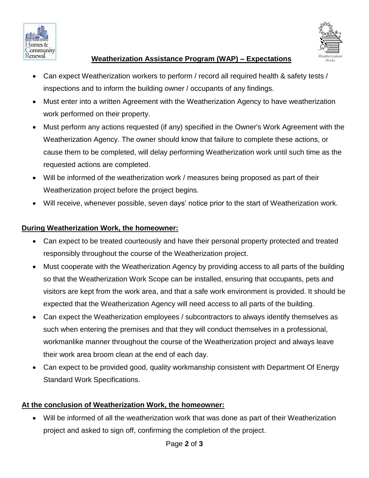



#### **Weatherization Assistance Program (WAP) – Expectations**

- Can expect Weatherization workers to perform / record all required health & safety tests / inspections and to inform the building owner / occupants of any findings.
- Must enter into a written Agreement with the Weatherization Agency to have weatherization work performed on their property.
- Must perform any actions requested (if any) specified in the Owner's Work Agreement with the Weatherization Agency. The owner should know that failure to complete these actions, or cause them to be completed, will delay performing Weatherization work until such time as the requested actions are completed.
- Will be informed of the weatherization work / measures being proposed as part of their Weatherization project before the project begins.
- Will receive, whenever possible, seven days' notice prior to the start of Weatherization work.

# **During Weatherization Work, the homeowner:**

- Can expect to be treated courteously and have their personal property protected and treated responsibly throughout the course of the Weatherization project.
- Must cooperate with the Weatherization Agency by providing access to all parts of the building so that the Weatherization Work Scope can be installed, ensuring that occupants, pets and visitors are kept from the work area, and that a safe work environment is provided. It should be expected that the Weatherization Agency will need access to all parts of the building.
- Can expect the Weatherization employees / subcontractors to always identify themselves as such when entering the premises and that they will conduct themselves in a professional, workmanlike manner throughout the course of the Weatherization project and always leave their work area broom clean at the end of each day.
- Can expect to be provided good, quality workmanship consistent with Department Of Energy Standard Work Specifications.

# **At the conclusion of Weatherization Work, the homeowner:**

 Will be informed of all the weatherization work that was done as part of their Weatherization project and asked to sign off, confirming the completion of the project.